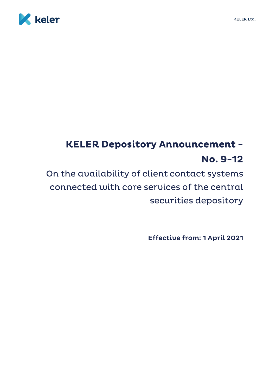

## **KELER Depository Announcement -**No. 9-12

On the availability of client contact systems connected with core services of the central securities depository

**Effective from: 1 April 2021**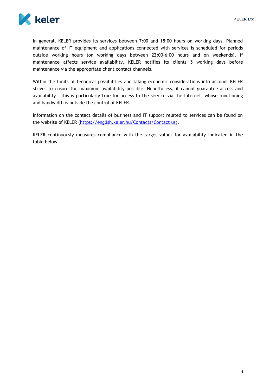

In general, KELER provides its services between 7:00 and 18:00 hours on working days. Planned maintenance of IT equipment and applications connected with services is scheduled for periods outside working hours (on working days between 22:00-6:00 hours and on weekends). If maintenance affects service availability, KELER notifies its clients 5 working days before maintenance via the appropriate client contact channels.

Within the limits of technical possibilities and taking economic considerations into account KELER strives to ensure the maximum availability possible. Nonetheless, it cannot guarantee access and availability – this is particularly true for access to the service via the Internet, whose functioning and bandwidth is outside the control of KELER.

Information on the contact details of business and IT support related to services can be found on the website of KELER [\(https://english.keler.hu/Contacts/Contact us\)](https://english.keler.hu/Contacts/Contact%20us/).

KELER continuously measures compliance with the target values for availability indicated in the table below.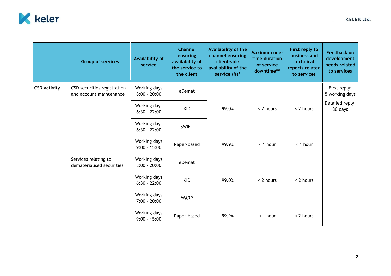

|                     | <b>Group of services</b>                               | <b>Availability of</b><br>service | <b>Channel</b><br>ensuring<br>availability of<br>the service to<br>the client | Availability of the<br>channel ensuring<br>client-side<br>availability of the<br>service $(\%)^*$ | <b>Maximum one-</b><br>time duration<br>of service<br>downtime** | First reply to<br>business and<br>technical<br>reports related<br>to services | <b>Feedback on</b><br>development<br>needs related<br>to services |
|---------------------|--------------------------------------------------------|-----------------------------------|-------------------------------------------------------------------------------|---------------------------------------------------------------------------------------------------|------------------------------------------------------------------|-------------------------------------------------------------------------------|-------------------------------------------------------------------|
| <b>CSD activity</b> | CSD securities registration<br>and account maintenance | Working days<br>$8:00 - 20:00$    | eDemat                                                                        | 99.0%                                                                                             | < 2 hours                                                        | < 2 hours                                                                     | First reply:<br>5 working days                                    |
|                     |                                                        | Working days<br>$6:30 - 22:00$    | <b>KID</b>                                                                    |                                                                                                   |                                                                  |                                                                               | Detailed reply:<br>30 days                                        |
|                     |                                                        | Working days<br>$6:30 - 22:00$    | <b>SWIFT</b>                                                                  |                                                                                                   |                                                                  |                                                                               |                                                                   |
|                     |                                                        | Working days<br>$9:00 - 15:00$    | Paper-based                                                                   | 99.9%                                                                                             | < 1 hour                                                         | < 1 hour                                                                      |                                                                   |
|                     | Services relating to<br>dematerialised securities      | Working days<br>$8:00 - 20:00$    | eDemat                                                                        | 99.0%                                                                                             | < 2 hours                                                        | < 2 hours                                                                     |                                                                   |
|                     |                                                        | Working days<br>$6:30 - 22:00$    | <b>KID</b>                                                                    |                                                                                                   |                                                                  |                                                                               |                                                                   |
|                     |                                                        | Working days<br>$7:00 - 20:00$    | <b>WARP</b>                                                                   |                                                                                                   |                                                                  |                                                                               |                                                                   |
|                     |                                                        | Working days<br>$9:00 - 15:00$    | Paper-based                                                                   | 99.9%                                                                                             | < 1 hour                                                         | < 2 hours                                                                     |                                                                   |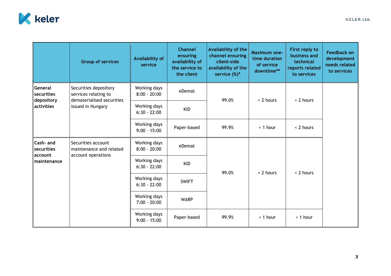

|                                                   | <b>Group of services</b>                                                                        | <b>Availability of</b><br>service | <b>Channel</b><br>ensuring<br>availability of<br>the service to<br>the client | Availability of the<br>channel ensuring<br>client-side<br>availability of the<br>service $(\%)^*$ | <b>Maximum one-</b><br>time duration<br>of service<br>downtime** | First reply to<br>business and<br>technical<br>reports related<br>to services | <b>Feedback on</b><br>development<br>needs related<br>to services |
|---------------------------------------------------|-------------------------------------------------------------------------------------------------|-----------------------------------|-------------------------------------------------------------------------------|---------------------------------------------------------------------------------------------------|------------------------------------------------------------------|-------------------------------------------------------------------------------|-------------------------------------------------------------------|
| General<br>securities<br>depository<br>activities | Securities depository<br>services relating to<br>dematerialised securities<br>issued in Hungary | Working days<br>$8:00 - 20:00$    | eDemat                                                                        | 99.0%                                                                                             | < 2 hours                                                        | < 2 hours                                                                     |                                                                   |
|                                                   |                                                                                                 | Working days<br>$6:30 - 22:00$    | <b>KID</b>                                                                    |                                                                                                   |                                                                  |                                                                               |                                                                   |
|                                                   |                                                                                                 | Working days<br>$9:00 - 15:00$    | Paper-based                                                                   | 99.9%                                                                                             | < 1 hour                                                         | < 2 hours                                                                     |                                                                   |
| Cash- and<br>securities<br>account<br>maintenance | Securities account<br>maintenance and related<br>account operations                             | Working days<br>$8:00 - 20:00$    | eDemat                                                                        | 99.0%                                                                                             | < 2 hours                                                        | < 2 hours                                                                     |                                                                   |
|                                                   |                                                                                                 | Working days<br>$6:30 - 22:00$    | <b>KID</b>                                                                    |                                                                                                   |                                                                  |                                                                               |                                                                   |
|                                                   |                                                                                                 | Working days<br>$6:30 - 22:00$    | <b>SWIFT</b>                                                                  |                                                                                                   |                                                                  |                                                                               |                                                                   |
|                                                   |                                                                                                 | Working days<br>$7:00 - 20:00$    | <b>WARP</b>                                                                   |                                                                                                   |                                                                  |                                                                               |                                                                   |
|                                                   |                                                                                                 | Working days<br>$9:00 - 15:00$    | Paper-based                                                                   | 99.9%                                                                                             | < 1 hour                                                         | < 1 hour                                                                      |                                                                   |